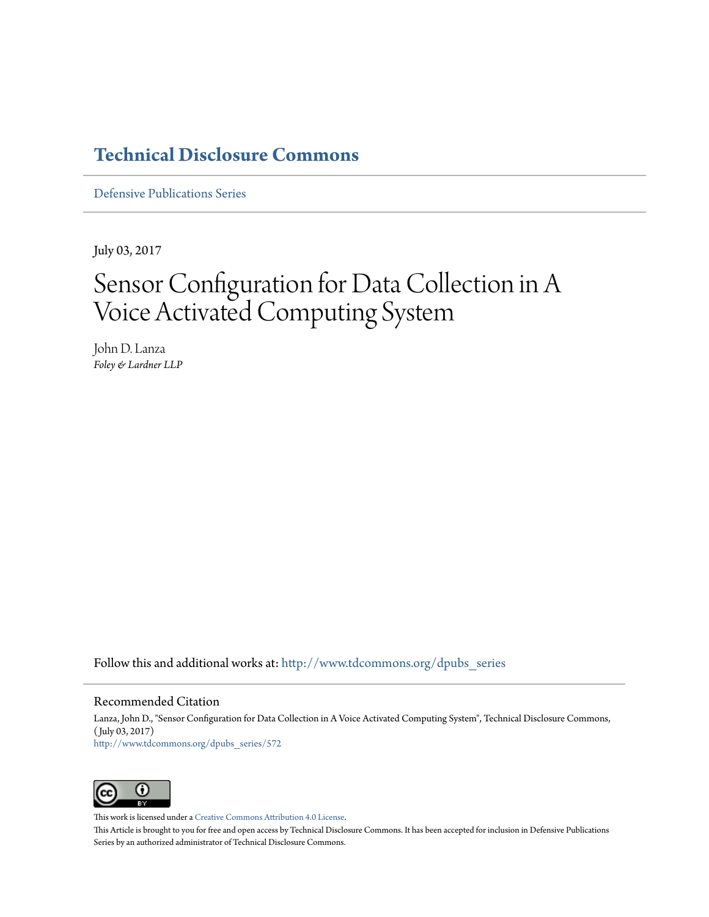## **[Technical Disclosure Commons](http://www.tdcommons.org?utm_source=www.tdcommons.org%2Fdpubs_series%2F572&utm_medium=PDF&utm_campaign=PDFCoverPages)**

[Defensive Publications Series](http://www.tdcommons.org/dpubs_series?utm_source=www.tdcommons.org%2Fdpubs_series%2F572&utm_medium=PDF&utm_campaign=PDFCoverPages)

July 03, 2017

# Sensor Configuration for Data Collection in A Voice Activated Computing System

John D. Lanza *Foley & Lardner LLP*

Follow this and additional works at: [http://www.tdcommons.org/dpubs\\_series](http://www.tdcommons.org/dpubs_series?utm_source=www.tdcommons.org%2Fdpubs_series%2F572&utm_medium=PDF&utm_campaign=PDFCoverPages)

#### Recommended Citation

Lanza, John D., "Sensor Configuration for Data Collection in A Voice Activated Computing System", Technical Disclosure Commons, ( July 03, 2017) [http://www.tdcommons.org/dpubs\\_series/572](http://www.tdcommons.org/dpubs_series/572?utm_source=www.tdcommons.org%2Fdpubs_series%2F572&utm_medium=PDF&utm_campaign=PDFCoverPages)



This work is licensed under a [Creative Commons Attribution 4.0 License.](http://creativecommons.org/licenses/by/4.0/deed.en_US)

This Article is brought to you for free and open access by Technical Disclosure Commons. It has been accepted for inclusion in Defensive Publications Series by an authorized administrator of Technical Disclosure Commons.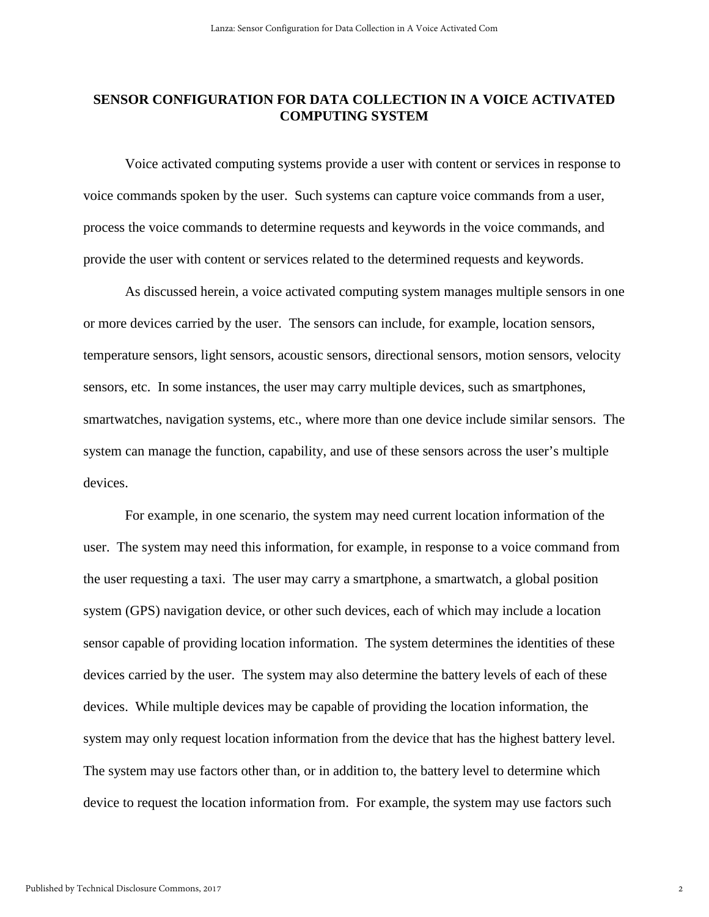### **SENSOR CONFIGURATION FOR DATA COLLECTION IN A VOICE ACTIVATED COMPUTING SYSTEM**

Voice activated computing systems provide a user with content or services in response to voice commands spoken by the user. Such systems can capture voice commands from a user, process the voice commands to determine requests and keywords in the voice commands, and provide the user with content or services related to the determined requests and keywords.

As discussed herein, a voice activated computing system manages multiple sensors in one or more devices carried by the user. The sensors can include, for example, location sensors, temperature sensors, light sensors, acoustic sensors, directional sensors, motion sensors, velocity sensors, etc. In some instances, the user may carry multiple devices, such as smartphones, smartwatches, navigation systems, etc., where more than one device include similar sensors. The system can manage the function, capability, and use of these sensors across the user's multiple devices.

For example, in one scenario, the system may need current location information of the user. The system may need this information, for example, in response to a voice command from the user requesting a taxi. The user may carry a smartphone, a smartwatch, a global position system (GPS) navigation device, or other such devices, each of which may include a location sensor capable of providing location information. The system determines the identities of these devices carried by the user. The system may also determine the battery levels of each of these devices. While multiple devices may be capable of providing the location information, the system may only request location information from the device that has the highest battery level. The system may use factors other than, or in addition to, the battery level to determine which device to request the location information from. For example, the system may use factors such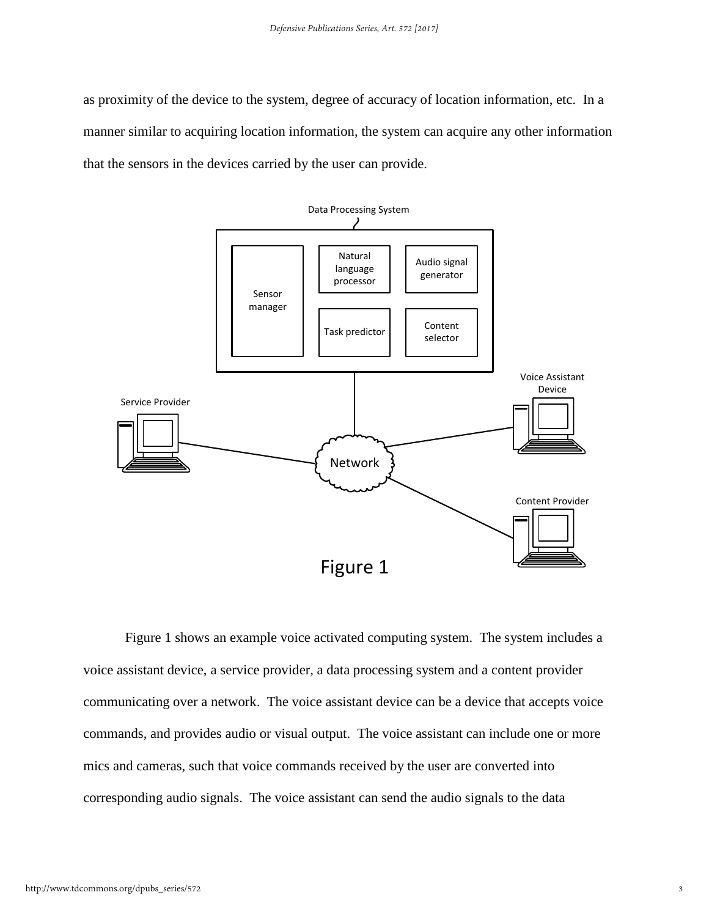as proximity of the device to the system, degree of accuracy of location information, etc. In a manner similar to acquiring location information, the system can acquire any other information that the sensors in the devices carried by the user can provide.



Figure 1 shows an example voice activated computing system. The system includes a voice assistant device, a service provider, a data processing system and a content provider communicating over a network. The voice assistant device can be a device that accepts voice commands, and provides audio or visual output. The voice assistant can include one or more mics and cameras, such that voice commands received by the user are converted into corresponding audio signals. The voice assistant can send the audio signals to the data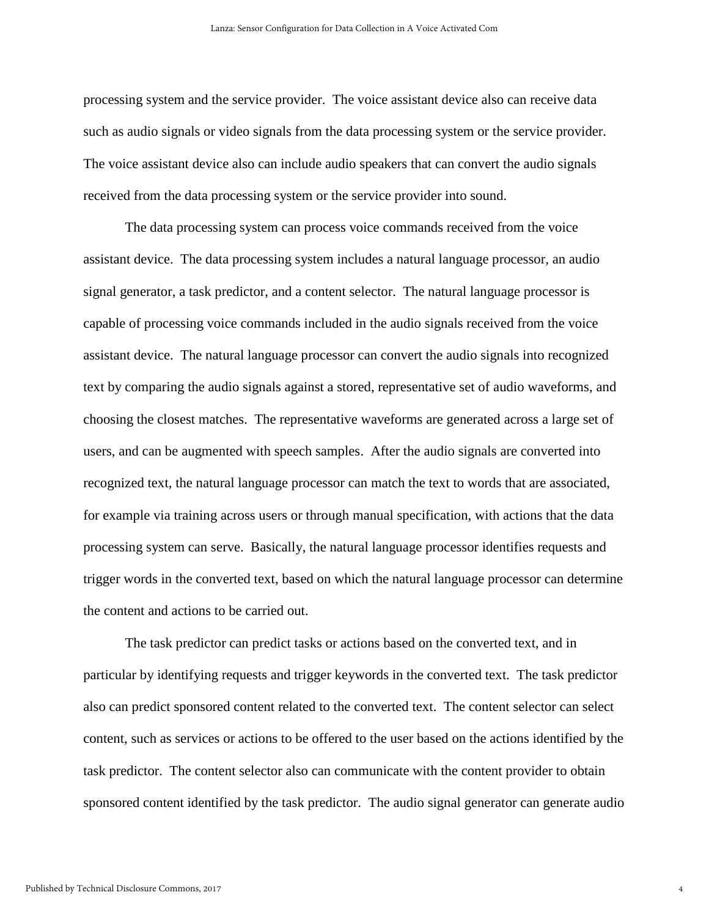processing system and the service provider. The voice assistant device also can receive data such as audio signals or video signals from the data processing system or the service provider. The voice assistant device also can include audio speakers that can convert the audio signals received from the data processing system or the service provider into sound.

The data processing system can process voice commands received from the voice assistant device. The data processing system includes a natural language processor, an audio signal generator, a task predictor, and a content selector. The natural language processor is capable of processing voice commands included in the audio signals received from the voice assistant device. The natural language processor can convert the audio signals into recognized text by comparing the audio signals against a stored, representative set of audio waveforms, and choosing the closest matches. The representative waveforms are generated across a large set of users, and can be augmented with speech samples. After the audio signals are converted into recognized text, the natural language processor can match the text to words that are associated, for example via training across users or through manual specification, with actions that the data processing system can serve. Basically, the natural language processor identifies requests and trigger words in the converted text, based on which the natural language processor can determine the content and actions to be carried out.

The task predictor can predict tasks or actions based on the converted text, and in particular by identifying requests and trigger keywords in the converted text. The task predictor also can predict sponsored content related to the converted text. The content selector can select content, such as services or actions to be offered to the user based on the actions identified by the task predictor. The content selector also can communicate with the content provider to obtain sponsored content identified by the task predictor. The audio signal generator can generate audio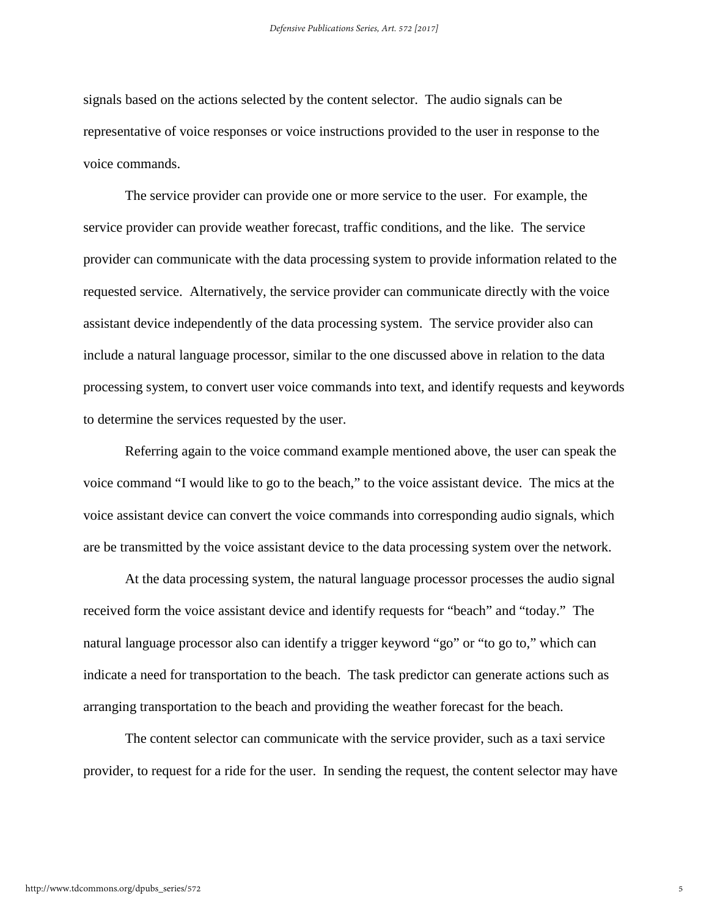signals based on the actions selected by the content selector. The audio signals can be representative of voice responses or voice instructions provided to the user in response to the voice commands.

The service provider can provide one or more service to the user. For example, the service provider can provide weather forecast, traffic conditions, and the like. The service provider can communicate with the data processing system to provide information related to the requested service. Alternatively, the service provider can communicate directly with the voice assistant device independently of the data processing system. The service provider also can include a natural language processor, similar to the one discussed above in relation to the data processing system, to convert user voice commands into text, and identify requests and keywords to determine the services requested by the user.

Referring again to the voice command example mentioned above, the user can speak the voice command "I would like to go to the beach," to the voice assistant device. The mics at the voice assistant device can convert the voice commands into corresponding audio signals, which are be transmitted by the voice assistant device to the data processing system over the network.

At the data processing system, the natural language processor processes the audio signal received form the voice assistant device and identify requests for "beach" and "today." The natural language processor also can identify a trigger keyword "go" or "to go to," which can indicate a need for transportation to the beach. The task predictor can generate actions such as arranging transportation to the beach and providing the weather forecast for the beach.

The content selector can communicate with the service provider, such as a taxi service provider, to request for a ride for the user. In sending the request, the content selector may have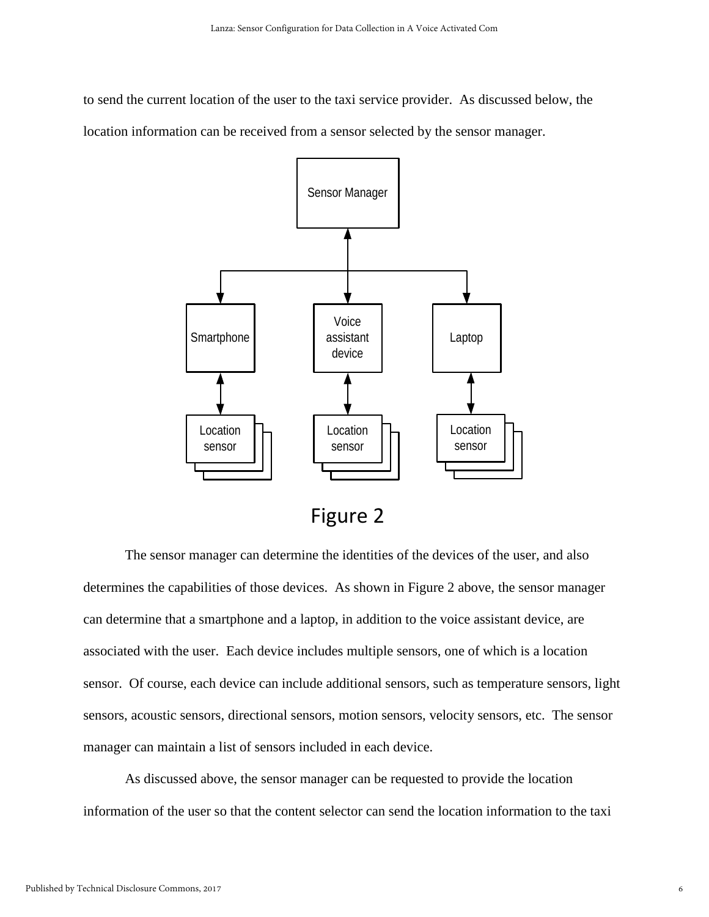to send the current location of the user to the taxi service provider. As discussed below, the location information can be received from a sensor selected by the sensor manager.



The sensor manager can determine the identities of the devices of the user, and also determines the capabilities of those devices. As shown in Figure 2 above, the sensor manager can determine that a smartphone and a laptop, in addition to the voice assistant device, are associated with the user. Each device includes multiple sensors, one of which is a location sensor. Of course, each device can include additional sensors, such as temperature sensors, light sensors, acoustic sensors, directional sensors, motion sensors, velocity sensors, etc. The sensor manager can maintain a list of sensors included in each device.

As discussed above, the sensor manager can be requested to provide the location information of the user so that the content selector can send the location information to the taxi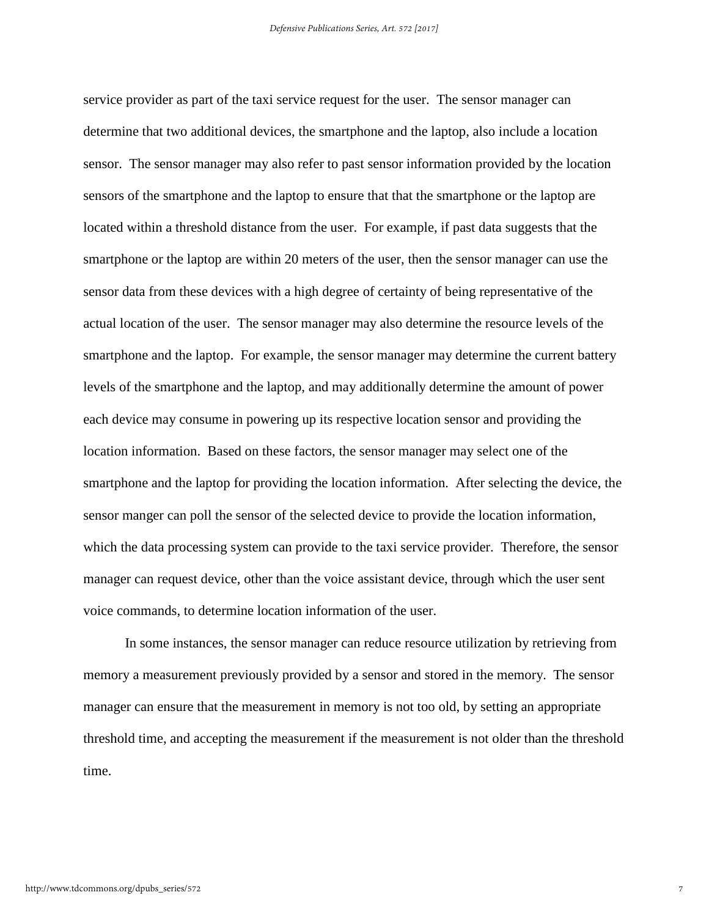service provider as part of the taxi service request for the user. The sensor manager can determine that two additional devices, the smartphone and the laptop, also include a location sensor. The sensor manager may also refer to past sensor information provided by the location sensors of the smartphone and the laptop to ensure that that the smartphone or the laptop are located within a threshold distance from the user. For example, if past data suggests that the smartphone or the laptop are within 20 meters of the user, then the sensor manager can use the sensor data from these devices with a high degree of certainty of being representative of the actual location of the user. The sensor manager may also determine the resource levels of the smartphone and the laptop. For example, the sensor manager may determine the current battery levels of the smartphone and the laptop, and may additionally determine the amount of power each device may consume in powering up its respective location sensor and providing the location information. Based on these factors, the sensor manager may select one of the smartphone and the laptop for providing the location information. After selecting the device, the sensor manger can poll the sensor of the selected device to provide the location information, which the data processing system can provide to the taxi service provider. Therefore, the sensor manager can request device, other than the voice assistant device, through which the user sent voice commands, to determine location information of the user.

In some instances, the sensor manager can reduce resource utilization by retrieving from memory a measurement previously provided by a sensor and stored in the memory. The sensor manager can ensure that the measurement in memory is not too old, by setting an appropriate threshold time, and accepting the measurement if the measurement is not older than the threshold time.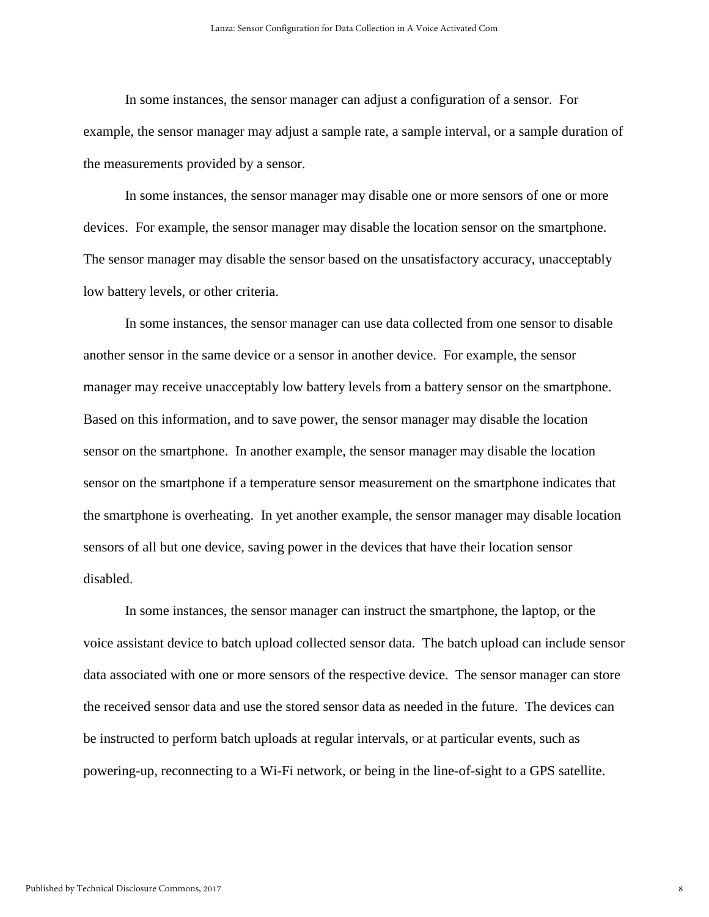In some instances, the sensor manager can adjust a configuration of a sensor. For example, the sensor manager may adjust a sample rate, a sample interval, or a sample duration of the measurements provided by a sensor.

In some instances, the sensor manager may disable one or more sensors of one or more devices. For example, the sensor manager may disable the location sensor on the smartphone. The sensor manager may disable the sensor based on the unsatisfactory accuracy, unacceptably low battery levels, or other criteria.

In some instances, the sensor manager can use data collected from one sensor to disable another sensor in the same device or a sensor in another device. For example, the sensor manager may receive unacceptably low battery levels from a battery sensor on the smartphone. Based on this information, and to save power, the sensor manager may disable the location sensor on the smartphone. In another example, the sensor manager may disable the location sensor on the smartphone if a temperature sensor measurement on the smartphone indicates that the smartphone is overheating. In yet another example, the sensor manager may disable location sensors of all but one device, saving power in the devices that have their location sensor disabled.

In some instances, the sensor manager can instruct the smartphone, the laptop, or the voice assistant device to batch upload collected sensor data. The batch upload can include sensor data associated with one or more sensors of the respective device. The sensor manager can store the received sensor data and use the stored sensor data as needed in the future. The devices can be instructed to perform batch uploads at regular intervals, or at particular events, such as powering-up, reconnecting to a Wi-Fi network, or being in the line-of-sight to a GPS satellite.